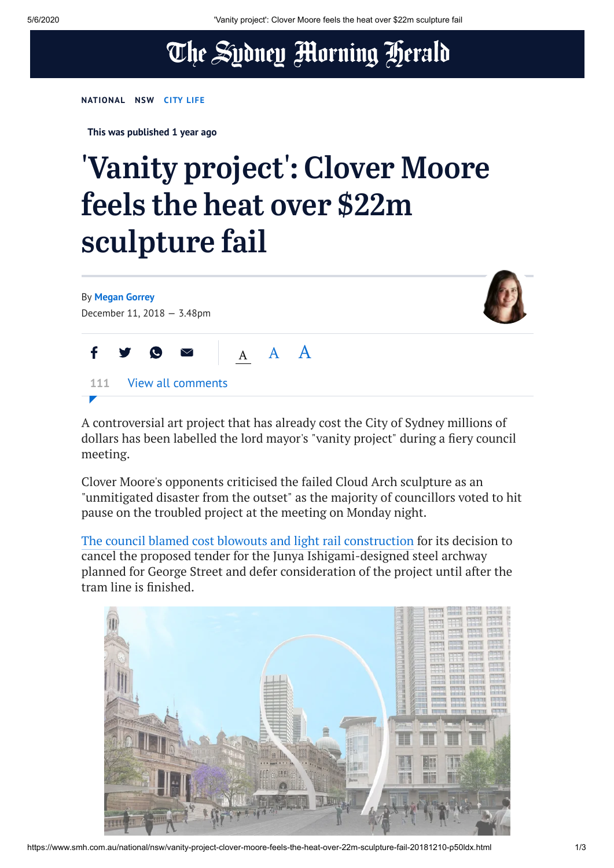## The Sydney Morning Herald

## **[NATIONAL](https://www.smh.com.au/national) [NSW](https://www.smh.com.au/national/nsw) [CITY](https://www.smh.com.au/topic/sydney-city-life-62j) LIFE**

**This was published 1 year ago**

## 'Vanity project' : Clover Moore feels the heat over \$22m sculpture fail



A controversial art project that has already cost the City of Sydney millions of dollars has been labelled the lord mayor's "vanity project" during a fiery council meeting.

Clover Moore's opponents criticised the failed Cloud Arch sculpture as an "unmitigated disaster from the outset" as the majority of councillors voted to hit pause on the troubled project at the meeting on Monday night.

The council blamed cost blowouts and light rail [construction](https://www.smh.com.au/national/nsw/sydney-s-22m-cloud-arch-sculpture-another-victim-of-light-rail-delays-20181206-p50kpu.html) for its decision to cancel the proposed tender for the Junya Ishigami-designed steel archway planned for George Street and defer consideration of the project until after the tram line is finished.

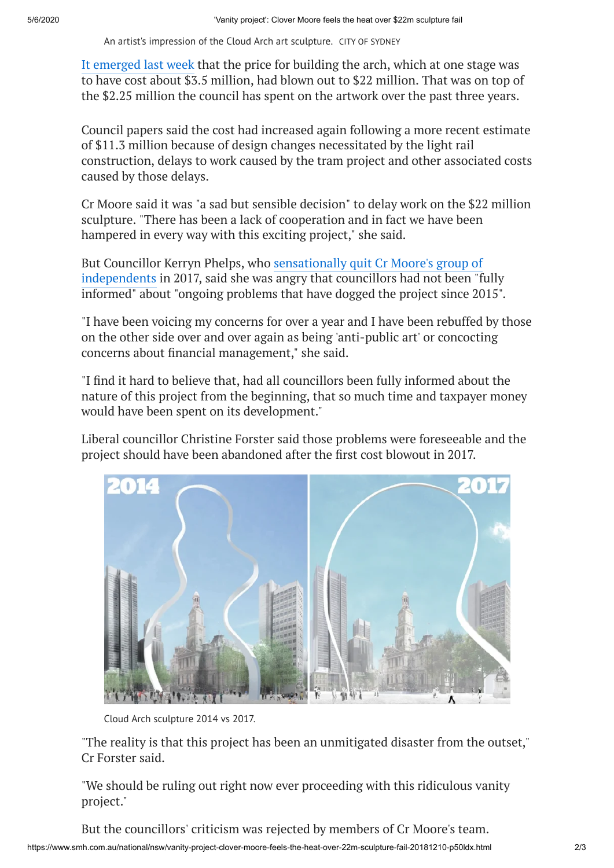An artist's impression of the Cloud Arch art sculpture. CITY OF SYDNEY

It [emerged](https://www.smh.com.au/national/nsw/sydney-s-22m-cloud-arch-sculpture-another-victim-of-light-rail-delays-20181206-p50kpu.html) last week that the price for building the arch, which at one stage was to have cost about \$3.5 million, had blown out to \$22 million. That was on top of the \$2.25 million the council has spent on the artwork over the past three years.

Council papers said the cost had increased again following a more recent estimate of \$11.3 million because of design changes necessitated by the light rail construction, delays to work caused by the tram project and other associated costs caused by those delays.

Cr Moore said it was "a sad but sensible decision" to delay work on the \$22 million sculpture. "There has been a lack of cooperation and in fact we have been hampered in every way with this exciting project," she said.

But Councillor Kerryn Phelps, who sensationally quit Cr Moore's group of [independents](https://www.smh.com.au/national/nsw/clover-moore-hits-out-at-deputy-kerryn-phelps-after-shock-resignation-20170627-gwz3dh.html) in 2017, said she was angry that councillors had not been "fully informed" about "ongoing problems that have dogged the project since 2015".

"I have been voicing my concerns for over a year and I have been rebuffed by those on the other side over and over again as being 'anti-public art' or concocting concerns about financial management," she said.

"I find it hard to believe that, had all councillors been fully informed about the nature of this project from the beginning, that so much time and taxpayer money would have been spent on its development."

Liberal councillor Christine Forster said those problems were foreseeable and the project should have been abandoned after the first cost blowout in 2017.



Cloud Arch sculpture 2014 vs 2017.

"The reality is that this project has been an unmitigated disaster from the outset," Cr Forster said.

"We should be ruling out right now ever proceeding with this ridiculous vanity project."

https://www.smh.com.au/national/nsw/vanity-project-clover-moore-feels-the-heat-over-22m-sculpture-fail-20181210-p50ldx.html 2/3 But the councillors' criticism was rejected by members of Cr Moore's team.